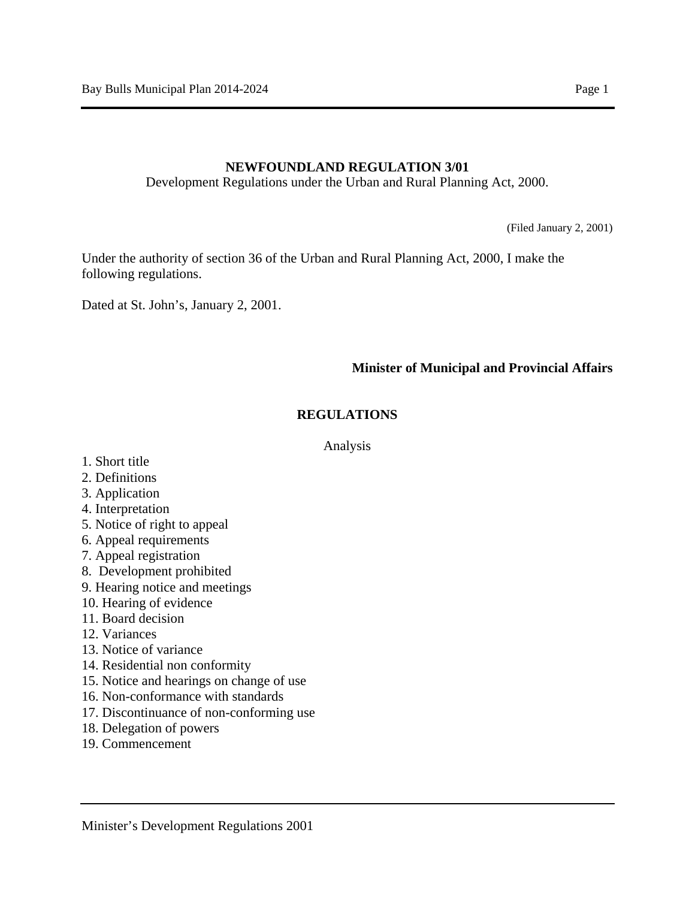### **NEWFOUNDLAND REGULATION 3/01**

Development Regulations under the Urban and Rural Planning Act, 2000.

(Filed January 2, 2001)

Under the authority of section 36 of the Urban and Rural Planning Act, 2000, I make the following regulations.

Dated at St. John's, January 2, 2001.

### **Minister of Municipal and Provincial Affairs**

### **REGULATIONS**

#### Analysis

- 1. Short title
- 2. Definitions
- 3. Application
- 4. Interpretation
- 5. Notice of right to appeal
- 6. Appeal requirements
- 7. Appeal registration
- 8. Development prohibited
- 9. Hearing notice and meetings
- 10. Hearing of evidence
- 11. Board decision
- 12. Variances
- 13. Notice of variance
- 14. Residential non conformity
- 15. Notice and hearings on change of use
- 16. Non-conformance with standards
- 17. Discontinuance of non-conforming use
- 18. Delegation of powers
- 19. Commencement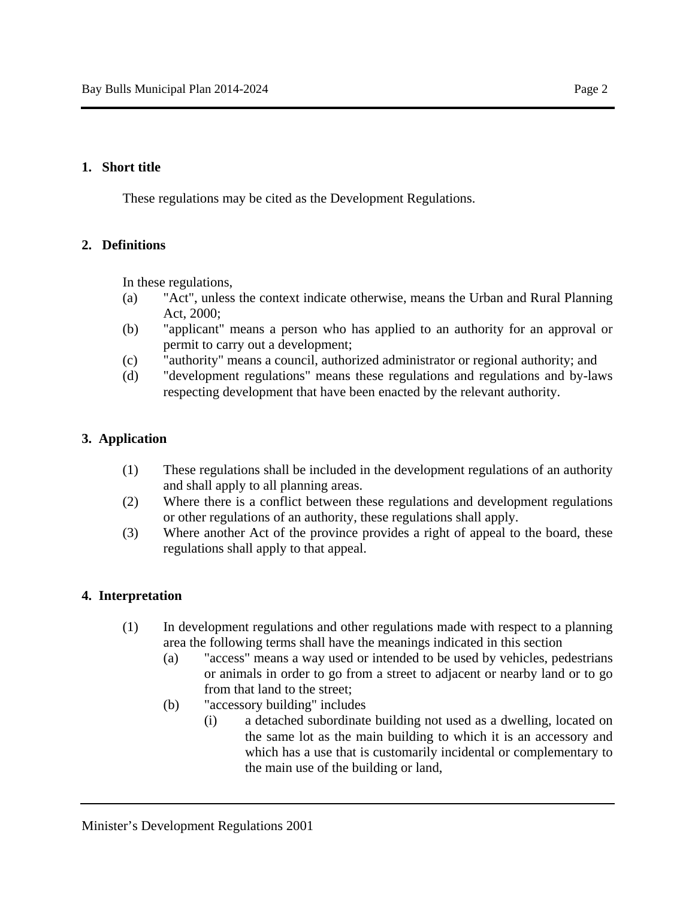### **1. Short title**

These regulations may be cited as the Development Regulations.

### **2. Definitions**

In these regulations,

- (a) "Act", unless the context indicate otherwise, means the Urban and Rural Planning Act, 2000;
- (b) "applicant" means a person who has applied to an authority for an approval or permit to carry out a development;
- (c) "authority" means a council, authorized administrator or regional authority; and
- (d) "development regulations" means these regulations and regulations and by-laws respecting development that have been enacted by the relevant authority.

### **3. Application**

- (1) These regulations shall be included in the development regulations of an authority and shall apply to all planning areas.
- (2) Where there is a conflict between these regulations and development regulations or other regulations of an authority, these regulations shall apply.
- (3) Where another Act of the province provides a right of appeal to the board, these regulations shall apply to that appeal.

### **4. Interpretation**

- (1) In development regulations and other regulations made with respect to a planning area the following terms shall have the meanings indicated in this section
	- (a) "access" means a way used or intended to be used by vehicles, pedestrians or animals in order to go from a street to adjacent or nearby land or to go from that land to the street;
	- (b) "accessory building" includes
		- (i) a detached subordinate building not used as a dwelling, located on the same lot as the main building to which it is an accessory and which has a use that is customarily incidental or complementary to the main use of the building or land,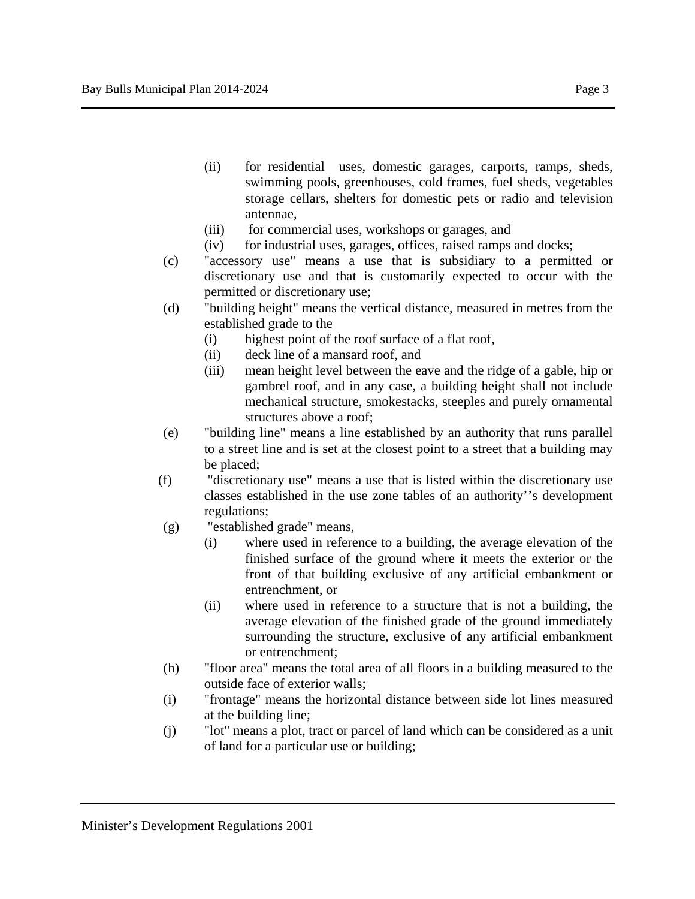- (ii) for residential uses, domestic garages, carports, ramps, sheds, swimming pools, greenhouses, cold frames, fuel sheds, vegetables storage cellars, shelters for domestic pets or radio and television antennae,
- (iii) for commercial uses, workshops or garages, and
- (iv) for industrial uses, garages, offices, raised ramps and docks;
- (c) "accessory use" means a use that is subsidiary to a permitted or discretionary use and that is customarily expected to occur with the permitted or discretionary use;
- (d) "building height" means the vertical distance, measured in metres from the established grade to the
	- (i) highest point of the roof surface of a flat roof,
	- (ii) deck line of a mansard roof, and
	- (iii) mean height level between the eave and the ridge of a gable, hip or gambrel roof, and in any case, a building height shall not include mechanical structure, smokestacks, steeples and purely ornamental structures above a roof;
- (e) "building line" means a line established by an authority that runs parallel to a street line and is set at the closest point to a street that a building may be placed;
- (f) "discretionary use" means a use that is listed within the discretionary use classes established in the use zone tables of an authority''s development regulations;
- (g) "established grade" means,
	- (i) where used in reference to a building, the average elevation of the finished surface of the ground where it meets the exterior or the front of that building exclusive of any artificial embankment or entrenchment, or
	- (ii) where used in reference to a structure that is not a building, the average elevation of the finished grade of the ground immediately surrounding the structure, exclusive of any artificial embankment or entrenchment;
- (h) "floor area" means the total area of all floors in a building measured to the outside face of exterior walls;
- (i) "frontage" means the horizontal distance between side lot lines measured at the building line;
- (j) "lot" means a plot, tract or parcel of land which can be considered as a unit of land for a particular use or building;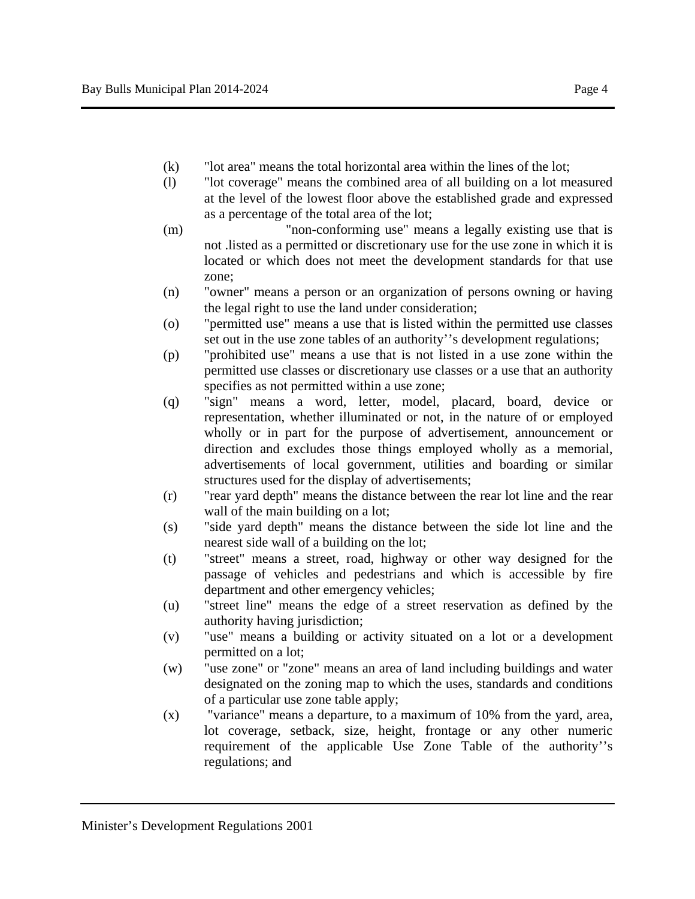- 
- (k) "lot area" means the total horizontal area within the lines of the lot; (l) "lot coverage" means the combined area of all building on a lot measured
- at the level of the lowest floor above the established grade and expressed as a percentage of the total area of the lot;
- (m) "non-conforming use" means a legally existing use that is not .listed as a permitted or discretionary use for the use zone in which it is located or which does not meet the development standards for that use zone;
- (n) "owner" means a person or an organization of persons owning or having the legal right to use the land under consideration;
- (o) "permitted use" means a use that is listed within the permitted use classes set out in the use zone tables of an authority''s development regulations;
- (p) "prohibited use" means a use that is not listed in a use zone within the permitted use classes or discretionary use classes or a use that an authority specifies as not permitted within a use zone;
- (q) "sign" means a word, letter, model, placard, board, device or representation, whether illuminated or not, in the nature of or employed wholly or in part for the purpose of advertisement, announcement or direction and excludes those things employed wholly as a memorial, advertisements of local government, utilities and boarding or similar structures used for the display of advertisements;
- (r) "rear yard depth" means the distance between the rear lot line and the rear wall of the main building on a lot;
- (s) "side yard depth" means the distance between the side lot line and the nearest side wall of a building on the lot;
- (t) "street" means a street, road, highway or other way designed for the passage of vehicles and pedestrians and which is accessible by fire department and other emergency vehicles;
- (u) "street line" means the edge of a street reservation as defined by the authority having jurisdiction;
- (v) "use" means a building or activity situated on a lot or a development permitted on a lot;
- (w) "use zone" or "zone" means an area of land including buildings and water designated on the zoning map to which the uses, standards and conditions of a particular use zone table apply;
- (x) "variance" means a departure, to a maximum of 10% from the yard, area, lot coverage, setback, size, height, frontage or any other numeric requirement of the applicable Use Zone Table of the authority''s regulations; and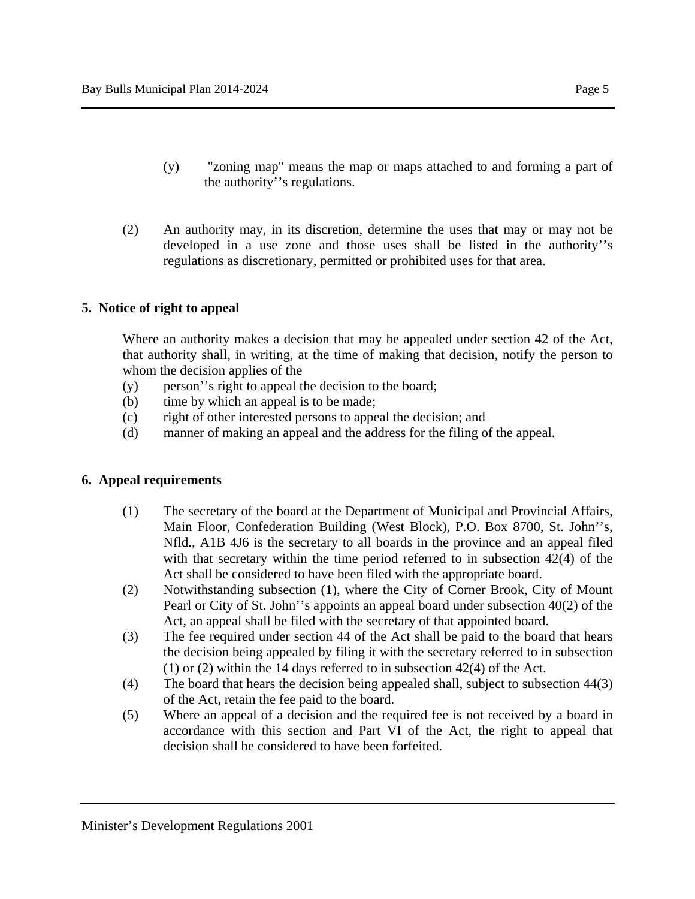- (y) "zoning map" means the map or maps attached to and forming a part of the authority''s regulations.
- (2) An authority may, in its discretion, determine the uses that may or may not be developed in a use zone and those uses shall be listed in the authority''s regulations as discretionary, permitted or prohibited uses for that area.

# **5. Notice of right to appeal**

Where an authority makes a decision that may be appealed under section 42 of the Act, that authority shall, in writing, at the time of making that decision, notify the person to whom the decision applies of the

- (y) person''s right to appeal the decision to the board;
- (b) time by which an appeal is to be made;
- (c) right of other interested persons to appeal the decision; and
- (d) manner of making an appeal and the address for the filing of the appeal.

### **6. Appeal requirements**

- (1) The secretary of the board at the Department of Municipal and Provincial Affairs, Main Floor, Confederation Building (West Block), P.O. Box 8700, St. John''s, Nfld., A1B 4J6 is the secretary to all boards in the province and an appeal filed with that secretary within the time period referred to in subsection 42(4) of the Act shall be considered to have been filed with the appropriate board.
- (2) Notwithstanding subsection (1), where the City of Corner Brook, City of Mount Pearl or City of St. John''s appoints an appeal board under subsection 40(2) of the Act, an appeal shall be filed with the secretary of that appointed board.
- (3) The fee required under section 44 of the Act shall be paid to the board that hears the decision being appealed by filing it with the secretary referred to in subsection (1) or (2) within the 14 days referred to in subsection 42(4) of the Act.
- (4) The board that hears the decision being appealed shall, subject to subsection 44(3) of the Act, retain the fee paid to the board.
- (5) Where an appeal of a decision and the required fee is not received by a board in accordance with this section and Part VI of the Act, the right to appeal that decision shall be considered to have been forfeited.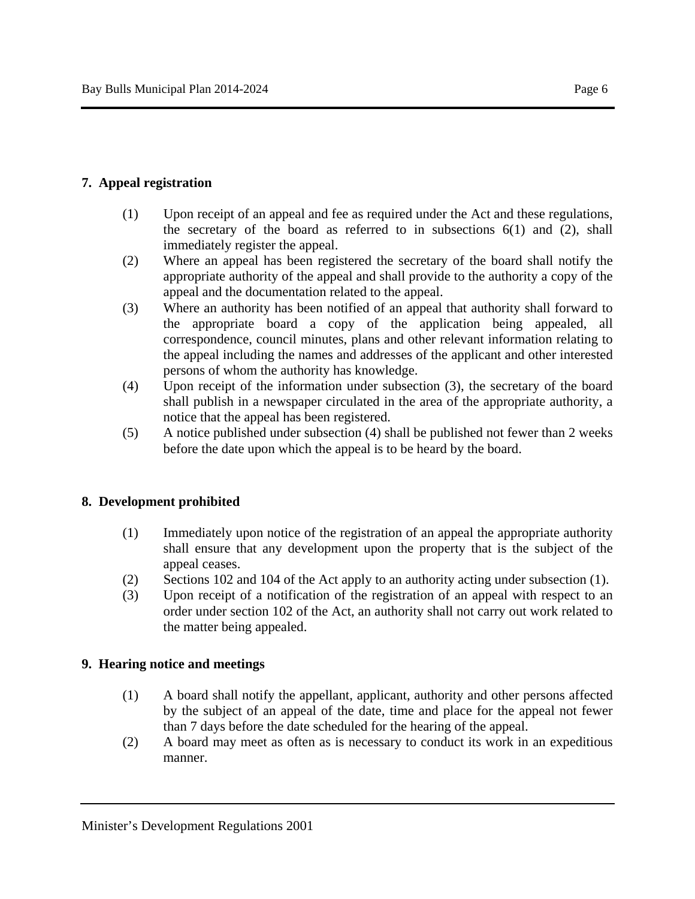### **7. Appeal registration**

- (1) Upon receipt of an appeal and fee as required under the Act and these regulations, the secretary of the board as referred to in subsections  $6(1)$  and  $(2)$ , shall immediately register the appeal.
- (2) Where an appeal has been registered the secretary of the board shall notify the appropriate authority of the appeal and shall provide to the authority a copy of the appeal and the documentation related to the appeal.
- (3) Where an authority has been notified of an appeal that authority shall forward to the appropriate board a copy of the application being appealed, all correspondence, council minutes, plans and other relevant information relating to the appeal including the names and addresses of the applicant and other interested persons of whom the authority has knowledge.
- (4) Upon receipt of the information under subsection (3), the secretary of the board shall publish in a newspaper circulated in the area of the appropriate authority, a notice that the appeal has been registered.
- (5) A notice published under subsection (4) shall be published not fewer than 2 weeks before the date upon which the appeal is to be heard by the board.

### **8. Development prohibited**

- (1) Immediately upon notice of the registration of an appeal the appropriate authority shall ensure that any development upon the property that is the subject of the appeal ceases.
- (2) Sections 102 and 104 of the Act apply to an authority acting under subsection (1).
- (3) Upon receipt of a notification of the registration of an appeal with respect to an order under section 102 of the Act, an authority shall not carry out work related to the matter being appealed.

### **9. Hearing notice and meetings**

- (1) A board shall notify the appellant, applicant, authority and other persons affected by the subject of an appeal of the date, time and place for the appeal not fewer than 7 days before the date scheduled for the hearing of the appeal.
- (2) A board may meet as often as is necessary to conduct its work in an expeditious manner.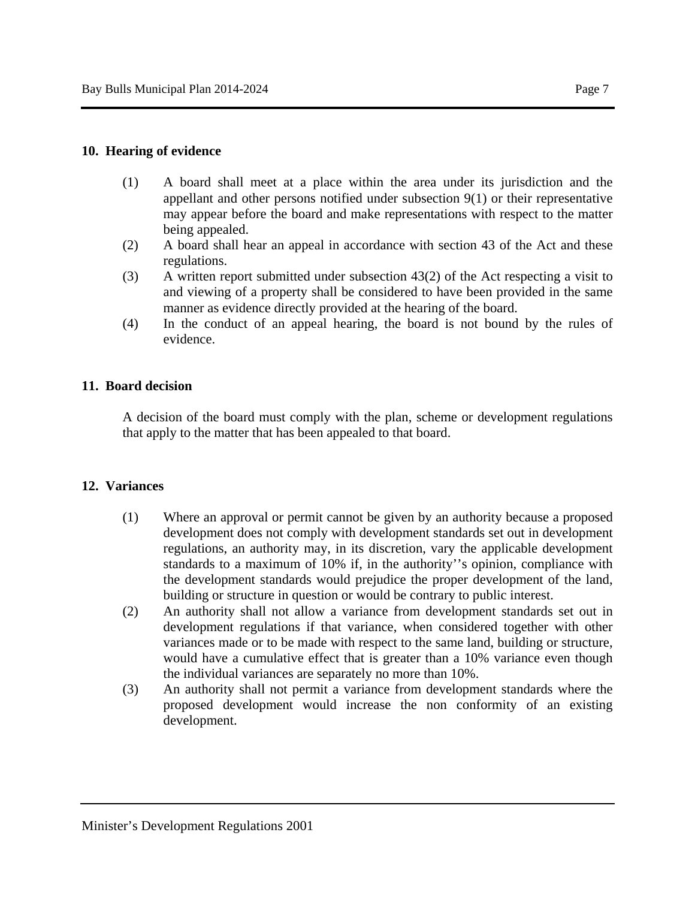- (1) A board shall meet at a place within the area under its jurisdiction and the appellant and other persons notified under subsection 9(1) or their representative may appear before the board and make representations with respect to the matter being appealed.
- (2) A board shall hear an appeal in accordance with section 43 of the Act and these regulations.
- (3) A written report submitted under subsection 43(2) of the Act respecting a visit to and viewing of a property shall be considered to have been provided in the same manner as evidence directly provided at the hearing of the board.
- (4) In the conduct of an appeal hearing, the board is not bound by the rules of evidence.

# **11. Board decision**

A decision of the board must comply with the plan, scheme or development regulations that apply to the matter that has been appealed to that board.

# **12. Variances**

- (1) Where an approval or permit cannot be given by an authority because a proposed development does not comply with development standards set out in development regulations, an authority may, in its discretion, vary the applicable development standards to a maximum of 10% if, in the authority''s opinion, compliance with the development standards would prejudice the proper development of the land, building or structure in question or would be contrary to public interest.
- (2) An authority shall not allow a variance from development standards set out in development regulations if that variance, when considered together with other variances made or to be made with respect to the same land, building or structure, would have a cumulative effect that is greater than a 10% variance even though the individual variances are separately no more than 10%.
- (3) An authority shall not permit a variance from development standards where the proposed development would increase the non conformity of an existing development.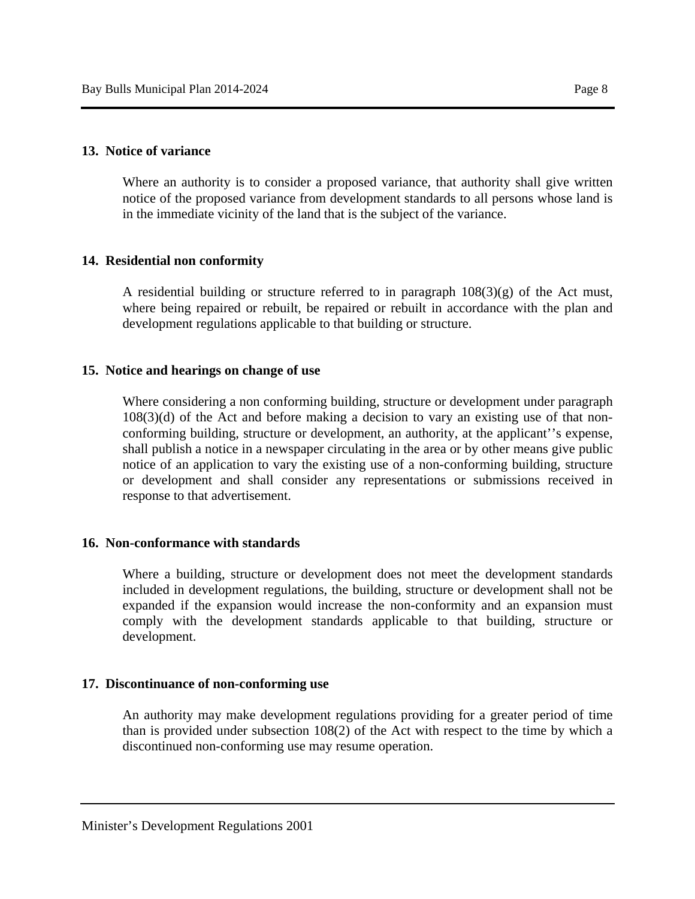Where an authority is to consider a proposed variance, that authority shall give written notice of the proposed variance from development standards to all persons whose land is in the immediate vicinity of the land that is the subject of the variance.

# **14. Residential non conformity**

A residential building or structure referred to in paragraph  $108(3)(g)$  of the Act must, where being repaired or rebuilt, be repaired or rebuilt in accordance with the plan and development regulations applicable to that building or structure.

### **15. Notice and hearings on change of use**

Where considering a non conforming building, structure or development under paragraph 108(3)(d) of the Act and before making a decision to vary an existing use of that nonconforming building, structure or development, an authority, at the applicant''s expense, shall publish a notice in a newspaper circulating in the area or by other means give public notice of an application to vary the existing use of a non-conforming building, structure or development and shall consider any representations or submissions received in response to that advertisement.

# **16. Non-conformance with standards**

Where a building, structure or development does not meet the development standards included in development regulations, the building, structure or development shall not be expanded if the expansion would increase the non-conformity and an expansion must comply with the development standards applicable to that building, structure or development.

# **17. Discontinuance of non-conforming use**

An authority may make development regulations providing for a greater period of time than is provided under subsection 108(2) of the Act with respect to the time by which a discontinued non-conforming use may resume operation.